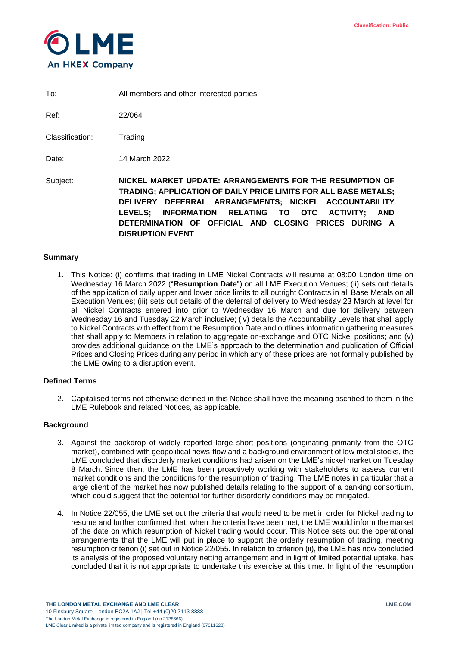

To: All members and other interested parties

Ref: 22/064

Classification: Trading

Date: 14 March 2022

Subject: **NICKEL MARKET UPDATE: ARRANGEMENTS FOR THE RESUMPTION OF TRADING; APPLICATION OF DAILY PRICE LIMITS FOR ALL BASE METALS; DELIVERY DEFERRAL ARRANGEMENTS; NICKEL ACCOUNTABILITY LEVELS; INFORMATION RELATING TO OTC ACTIVITY; AND DETERMINATION OF OFFICIAL AND CLOSING PRICES DURING A DISRUPTION EVENT**

# **Summary**

1. This Notice: (i) confirms that trading in LME Nickel Contracts will resume at 08:00 London time on Wednesday 16 March 2022 ("**Resumption Date**") on all LME Execution Venues; (ii) sets out details of the application of daily upper and lower price limits to all outright Contracts in all Base Metals on all Execution Venues; (iii) sets out details of the deferral of delivery to Wednesday 23 March at level for all Nickel Contracts entered into prior to Wednesday 16 March and due for delivery between Wednesday 16 and Tuesday 22 March inclusive; (iv) details the Accountability Levels that shall apply to Nickel Contracts with effect from the Resumption Date and outlines information gathering measures that shall apply to Members in relation to aggregate on-exchange and OTC Nickel positions; and (v) provides additional guidance on the LME's approach to the determination and publication of Official Prices and Closing Prices during any period in which any of these prices are not formally published by the LME owing to a disruption event.

# **Defined Terms**

2. Capitalised terms not otherwise defined in this Notice shall have the meaning ascribed to them in the LME Rulebook and related Notices, as applicable.

# **Background**

- 3. Against the backdrop of widely reported large short positions (originating primarily from the OTC market), combined with geopolitical news-flow and a background environment of low metal stocks, the LME concluded that disorderly market conditions had arisen on the LME's nickel market on Tuesday 8 March. Since then, the LME has been proactively working with stakeholders to assess current market conditions and the conditions for the resumption of trading. The LME notes in particular that a large client of the market has now published details relating to the support of a banking consortium, which could suggest that the potential for further disorderly conditions may be mitigated.
- 4. In Notice 22/055, the LME set out the criteria that would need to be met in order for Nickel trading to resume and further confirmed that, when the criteria have been met, the LME would inform the market of the date on which resumption of Nickel trading would occur. This Notice sets out the operational arrangements that the LME will put in place to support the orderly resumption of trading, meeting resumption criterion (i) set out in Notice 22/055. In relation to criterion (ii), the LME has now concluded its analysis of the proposed voluntary netting arrangement and in light of limited potential uptake, has concluded that it is not appropriate to undertake this exercise at this time. In light of the resumption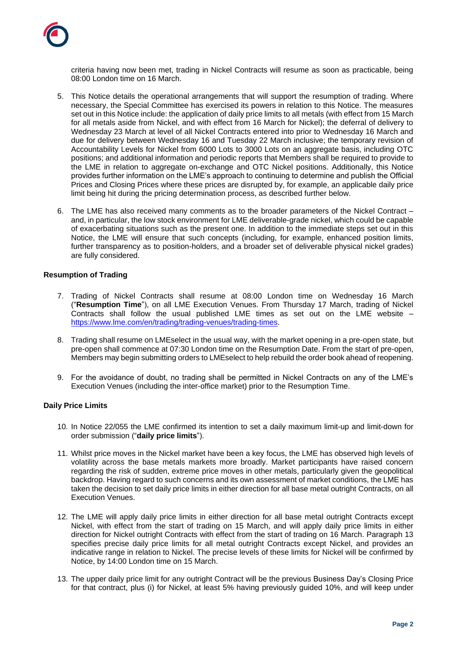

criteria having now been met, trading in Nickel Contracts will resume as soon as practicable, being 08:00 London time on 16 March.

- 5. This Notice details the operational arrangements that will support the resumption of trading. Where necessary, the Special Committee has exercised its powers in relation to this Notice. The measures set out in this Notice include: the application of daily price limits to all metals (with effect from 15 March for all metals aside from Nickel, and with effect from 16 March for Nickel); the deferral of delivery to Wednesday 23 March at level of all Nickel Contracts entered into prior to Wednesday 16 March and due for delivery between Wednesday 16 and Tuesday 22 March inclusive; the temporary revision of Accountability Levels for Nickel from 6000 Lots to 3000 Lots on an aggregate basis, including OTC positions; and additional information and periodic reports that Members shall be required to provide to the LME in relation to aggregate on-exchange and OTC Nickel positions. Additionally, this Notice provides further information on the LME's approach to continuing to determine and publish the Official Prices and Closing Prices where these prices are disrupted by, for example, an applicable daily price limit being hit during the pricing determination process, as described further below.
- 6. The LME has also received many comments as to the broader parameters of the Nickel Contract and, in particular, the low stock environment for LME deliverable-grade nickel, which could be capable of exacerbating situations such as the present one. In addition to the immediate steps set out in this Notice, the LME will ensure that such concepts (including, for example, enhanced position limits, further transparency as to position-holders, and a broader set of deliverable physical nickel grades) are fully considered.

# **Resumption of Trading**

- 7. Trading of Nickel Contracts shall resume at 08:00 London time on Wednesday 16 March ("**Resumption Time**"), on all LME Execution Venues. From Thursday 17 March, trading of Nickel Contracts shall follow the usual published LME times as set out on the LME website – [https://www.lme.com/en/trading/trading-venues/trading-times.](https://www.lme.com/en/trading/trading-venues/trading-times)
- 8. Trading shall resume on LMEselect in the usual way, with the market opening in a pre-open state, but pre-open shall commence at 07:30 London time on the Resumption Date. From the start of pre-open, Members may begin submitting orders to LMEselect to help rebuild the order book ahead of reopening.
- 9. For the avoidance of doubt, no trading shall be permitted in Nickel Contracts on any of the LME's Execution Venues (including the inter-office market) prior to the Resumption Time.

# **Daily Price Limits**

- 10. In Notice 22/055 the LME confirmed its intention to set a daily maximum limit-up and limit-down for order submission ("**daily price limits**").
- 11. Whilst price moves in the Nickel market have been a key focus, the LME has observed high levels of volatility across the base metals markets more broadly. Market participants have raised concern regarding the risk of sudden, extreme price moves in other metals, particularly given the geopolitical backdrop. Having regard to such concerns and its own assessment of market conditions, the LME has taken the decision to set daily price limits in either direction for all base metal outright Contracts, on all Execution Venues.
- <span id="page-1-1"></span>12. The LME will apply daily price limits in either direction for all base metal outright Contracts except Nickel, with effect from the start of trading on 15 March, and will apply daily price limits in either direction for Nickel outright Contracts with effect from the start of trading on 16 March. Paragraph [13](#page-1-0) specifies precise daily price limits for all metal outright Contracts except Nickel, and provides an indicative range in relation to Nickel. The precise levels of these limits for Nickel will be confirmed by Notice, by 14:00 London time on 15 March.
- <span id="page-1-0"></span>13. The upper daily price limit for any outright Contract will be the previous Business Day's Closing Price for that contract, plus (i) for Nickel, at least 5% having previously guided 10%, and will keep under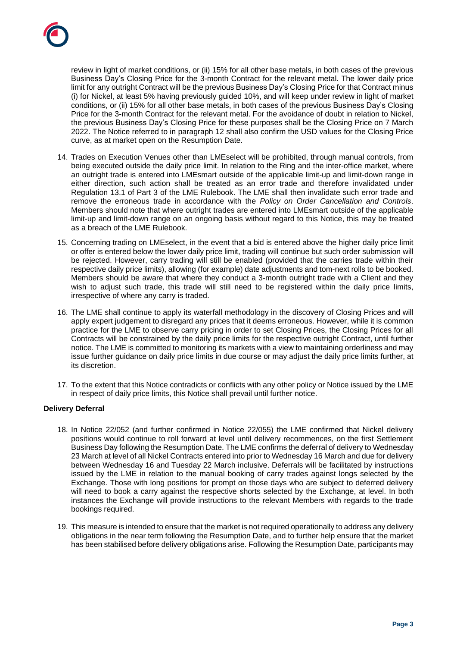review in light of market conditions, or (ii) 15% for all other base metals, in both cases of the previous Business Day's Closing Price for the 3-month Contract for the relevant metal. The lower daily price limit for any outright Contract will be the previous Business Day's Closing Price for that Contract minus (i) for Nickel, at least 5% having previously guided 10%, and will keep under review in light of market conditions, or (ii) 15% for all other base metals, in both cases of the previous Business Day's Closing Price for the 3-month Contract for the relevant metal. For the avoidance of doubt in relation to Nickel, the previous Business Day's Closing Price for these purposes shall be the Closing Price on 7 March 2022. The Notice referred to in paragraph [12](#page-1-1) shall also confirm the USD values for the Closing Price curve, as at market open on the Resumption Date.

- 14. Trades on Execution Venues other than LMEselect will be prohibited, through manual controls, from being executed outside the daily price limit. In relation to the Ring and the inter-office market, where an outright trade is entered into LMEsmart outside of the applicable limit-up and limit-down range in either direction, such action shall be treated as an error trade and therefore invalidated under Regulation 13.1 of Part 3 of the LME Rulebook. The LME shall then invalidate such error trade and remove the erroneous trade in accordance with the *Policy on Order Cancellation and Controls*. Members should note that where outright trades are entered into LMEsmart outside of the applicable limit-up and limit-down range on an ongoing basis without regard to this Notice, this may be treated as a breach of the LME Rulebook.
- 15. Concerning trading on LMEselect, in the event that a bid is entered above the higher daily price limit or offer is entered below the lower daily price limit, trading will continue but such order submission will be rejected. However, carry trading will still be enabled (provided that the carries trade within their respective daily price limits), allowing (for example) date adjustments and tom-next rolls to be booked. Members should be aware that where they conduct a 3-month outright trade with a Client and they wish to adjust such trade, this trade will still need to be registered within the daily price limits, irrespective of where any carry is traded.
- 16. The LME shall continue to apply its waterfall methodology in the discovery of Closing Prices and will apply expert judgement to disregard any prices that it deems erroneous. However, while it is common practice for the LME to observe carry pricing in order to set Closing Prices, the Closing Prices for all Contracts will be constrained by the daily price limits for the respective outright Contract, until further notice. The LME is committed to monitoring its markets with a view to maintaining orderliness and may issue further guidance on daily price limits in due course or may adjust the daily price limits further, at its discretion.
- 17. To the extent that this Notice contradicts or conflicts with any other policy or Notice issued by the LME in respect of daily price limits, this Notice shall prevail until further notice.

# **Delivery Deferral**

- 18. In Notice 22/052 (and further confirmed in Notice 22/055) the LME confirmed that Nickel delivery positions would continue to roll forward at level until delivery recommences, on the first Settlement Business Day following the Resumption Date. The LME confirms the deferral of delivery to Wednesday 23 March at level of all Nickel Contracts entered into prior to Wednesday 16 March and due for delivery between Wednesday 16 and Tuesday 22 March inclusive. Deferrals will be facilitated by instructions issued by the LME in relation to the manual booking of carry trades against longs selected by the Exchange. Those with long positions for prompt on those days who are subject to deferred delivery will need to book a carry against the respective shorts selected by the Exchange, at level. In both instances the Exchange will provide instructions to the relevant Members with regards to the trade bookings required.
- 19. This measure is intended to ensure that the market is not required operationally to address any delivery obligations in the near term following the Resumption Date, and to further help ensure that the market has been stabilised before delivery obligations arise. Following the Resumption Date, participants may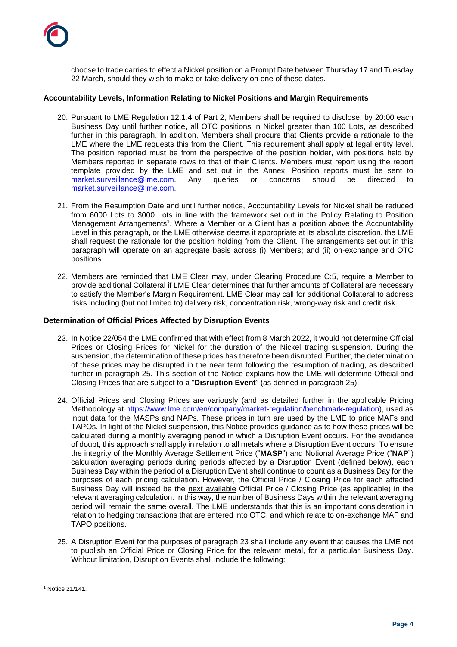

choose to trade carries to effect a Nickel position on a Prompt Date between Thursday 17 and Tuesday 22 March, should they wish to make or take delivery on one of these dates.

## **Accountability Levels, Information Relating to Nickel Positions and Margin Requirements**

- 20. Pursuant to LME Regulation 12.1.4 of Part 2, Members shall be required to disclose, by 20:00 each Business Day until further notice, all OTC positions in Nickel greater than 100 Lots, as described further in this paragraph. In addition, Members shall procure that Clients provide a rationale to the LME where the LME requests this from the Client. This requirement shall apply at legal entity level. The position reported must be from the perspective of the position holder, with positions held by Members reported in separate rows to that of their Clients. Members must report using the report template provided by the LME and set out in the Annex. Position reports must be sent to [market.surveillance@lme.com.](mailto:market.surveillance@lme.com) Any queries or concerns should be directed to [market.surveillance@lme.com.](mailto:market.surveillance@lme.com)
- 21. From the Resumption Date and until further notice, Accountability Levels for Nickel shall be reduced from 6000 Lots to 3000 Lots in line with the framework set out in the Policy Relating to Position Management Arrangements<sup>1</sup>. Where a Member or a Client has a position above the Accountability Level in this paragraph, or the LME otherwise deems it appropriate at its absolute discretion, the LME shall request the rationale for the position holding from the Client. The arrangements set out in this paragraph will operate on an aggregate basis across (i) Members; and (ii) on-exchange and OTC positions.
- 22. Members are reminded that LME Clear may, under Clearing Procedure C:5, require a Member to provide additional Collateral if LME Clear determines that further amounts of Collateral are necessary to satisfy the Member's Margin Requirement. LME Clear may call for additional Collateral to address risks including (but not limited to) delivery risk, concentration risk, wrong-way risk and credit risk.

### **Determination of Official Prices Affected by Disruption Events**

- <span id="page-3-1"></span>23. In Notice 22/054 the LME confirmed that with effect from 8 March 2022, it would not determine Official Prices or Closing Prices for Nickel for the duration of the Nickel trading suspension. During the suspension, the determination of these prices has therefore been disrupted. Further, the determination of these prices may be disrupted in the near term following the resumption of trading, as described further in paragraph [25.](#page-3-0) This section of the Notice explains how the LME will determine Official and Closing Prices that are subject to a "**Disruption Event**" (as defined in paragraph [25\)](#page-3-0).
- 24. Official Prices and Closing Prices are variously (and as detailed further in the applicable Pricing Methodology at [https://www.lme.com/en/company/market-regulation/benchmark-regulation\)](https://www.lme.com/en/company/market-regulation/benchmark-regulation), used as input data for the MASPs and NAPs. These prices in turn are used by the LME to price MAFs and TAPOs. In light of the Nickel suspension, this Notice provides guidance as to how these prices will be calculated during a monthly averaging period in which a Disruption Event occurs. For the avoidance of doubt, this approach shall apply in relation to all metals where a Disruption Event occurs. To ensure the integrity of the Monthly Average Settlement Price ("**MASP**") and Notional Average Price ("**NAP**") calculation averaging periods during periods affected by a Disruption Event (defined below), each Business Day within the period of a Disruption Event shall continue to count as a Business Day for the purposes of each pricing calculation. However, the Official Price / Closing Price for each affected Business Day will instead be the next available Official Price / Closing Price (as applicable) in the relevant averaging calculation. In this way, the number of Business Days within the relevant averaging period will remain the same overall. The LME understands that this is an important consideration in relation to hedging transactions that are entered into OTC, and which relate to on-exchange MAF and TAPO positions.
- <span id="page-3-0"></span>25. A Disruption Event for the purposes of paragraph [23](#page-3-1) shall include any event that causes the LME not to publish an Official Price or Closing Price for the relevant metal, for a particular Business Day. Without limitation, Disruption Events shall include the following:

l <sup>1</sup> Notice 21/141.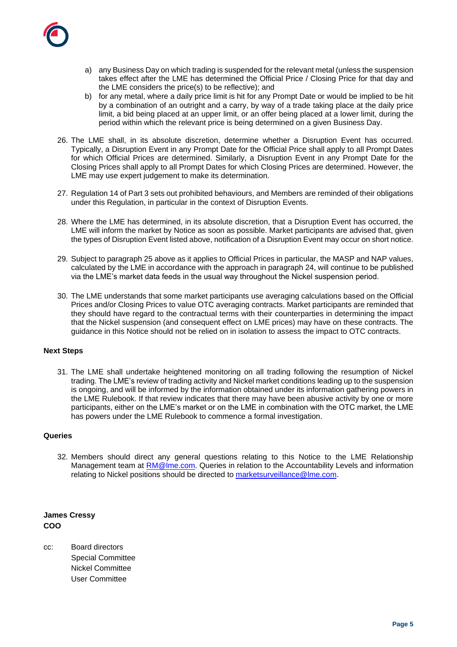

- a) any Business Day on which trading is suspended for the relevant metal (unless the suspension takes effect after the LME has determined the Official Price / Closing Price for that day and the LME considers the price(s) to be reflective); and
- b) for any metal, where a daily price limit is hit for any Prompt Date or would be implied to be hit by a combination of an outright and a carry, by way of a trade taking place at the daily price limit, a bid being placed at an upper limit, or an offer being placed at a lower limit, during the period within which the relevant price is being determined on a given Business Day.
- 26. The LME shall, in its absolute discretion, determine whether a Disruption Event has occurred. Typically, a Disruption Event in any Prompt Date for the Official Price shall apply to all Prompt Dates for which Official Prices are determined. Similarly, a Disruption Event in any Prompt Date for the Closing Prices shall apply to all Prompt Dates for which Closing Prices are determined. However, the LME may use expert judgement to make its determination.
- 27. Regulation 14 of Part 3 sets out prohibited behaviours, and Members are reminded of their obligations under this Regulation, in particular in the context of Disruption Events.
- 28. Where the LME has determined, in its absolute discretion, that a Disruption Event has occurred, the LME will inform the market by Notice as soon as possible. Market participants are advised that, given the types of Disruption Event listed above, notification of a Disruption Event may occur on short notice.
- 29. Subject to paragraph 25 above as it applies to Official Prices in particular, the MASP and NAP values, calculated by the LME in accordance with the approach in paragraph 24, will continue to be published via the LME's market data feeds in the usual way throughout the Nickel suspension period.
- 30. The LME understands that some market participants use averaging calculations based on the Official Prices and/or Closing Prices to value OTC averaging contracts. Market participants are reminded that they should have regard to the contractual terms with their counterparties in determining the impact that the Nickel suspension (and consequent effect on LME prices) may have on these contracts. The guidance in this Notice should not be relied on in isolation to assess the impact to OTC contracts.

# **Next Steps**

31. The LME shall undertake heightened monitoring on all trading following the resumption of Nickel trading. The LME's review of trading activity and Nickel market conditions leading up to the suspension is ongoing, and will be informed by the information obtained under its information gathering powers in the LME Rulebook. If that review indicates that there may have been abusive activity by one or more participants, either on the LME's market or on the LME in combination with the OTC market, the LME has powers under the LME Rulebook to commence a formal investigation.

### **Queries**

32. Members should direct any general questions relating to this Notice to the LME Relationship Management team at [RM@lme.com.](mailto:RM@lme.com) Queries in relation to the Accountability Levels and information relating to Nickel positions should be directed to [marketsurveillance@lme.com.](mailto:marketsurveillance@lme.com)

**James Cressy COO**

cc: Board directors Special Committee Nickel Committee User Committee